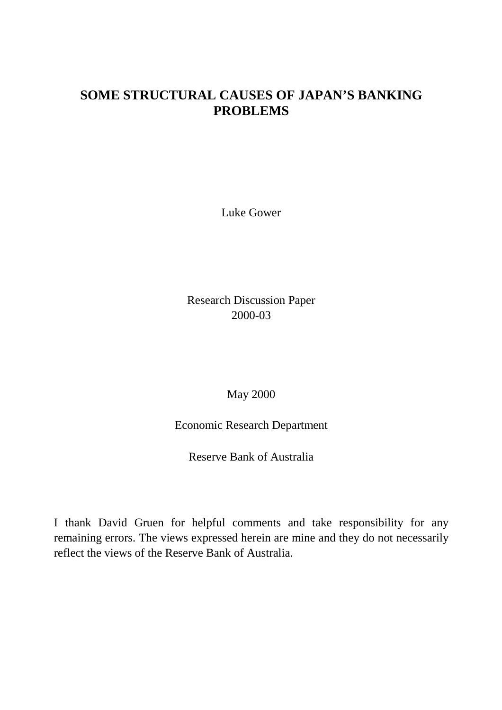# **SOME STRUCTURAL CAUSES OF JAPAN'S BANKING PROBLEMS**

Luke Gower

Research Discussion Paper 2000-03

May 2000

Economic Research Department

Reserve Bank of Australia

I thank David Gruen for helpful comments and take responsibility for any remaining errors. The views expressed herein are mine and they do not necessarily reflect the views of the Reserve Bank of Australia.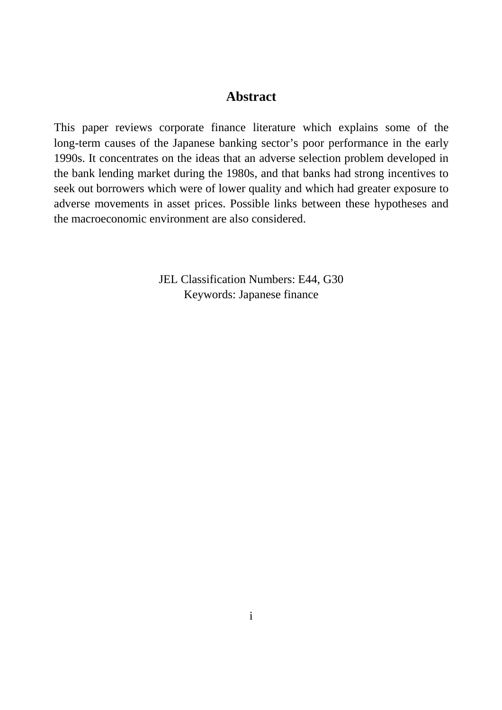#### **Abstract**

This paper reviews corporate finance literature which explains some of the long-term causes of the Japanese banking sector's poor performance in the early 1990s. It concentrates on the ideas that an adverse selection problem developed in the bank lending market during the 1980s, and that banks had strong incentives to seek out borrowers which were of lower quality and which had greater exposure to adverse movements in asset prices. Possible links between these hypotheses and the macroeconomic environment are also considered.

> JEL Classification Numbers: E44, G30 Keywords: Japanese finance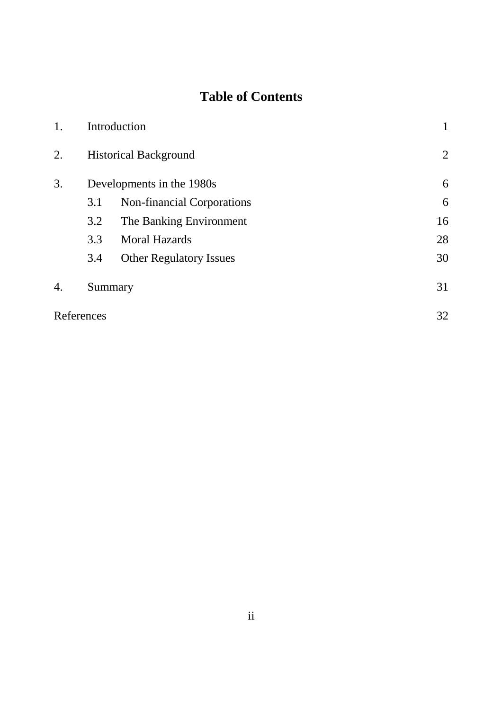# **Table of Contents**

| 1. |                           | Introduction                   |    |
|----|---------------------------|--------------------------------|----|
| 2. |                           | <b>Historical Background</b>   | 2  |
| 3. | Developments in the 1980s | 6                              |    |
|    | 3.1                       | Non-financial Corporations     | 6  |
|    | 3.2                       | The Banking Environment        | 16 |
|    | 3.3                       | <b>Moral Hazards</b>           | 28 |
|    | 3.4                       | <b>Other Regulatory Issues</b> | 30 |
| 4. | Summary                   | 31                             |    |
|    | References                |                                | 32 |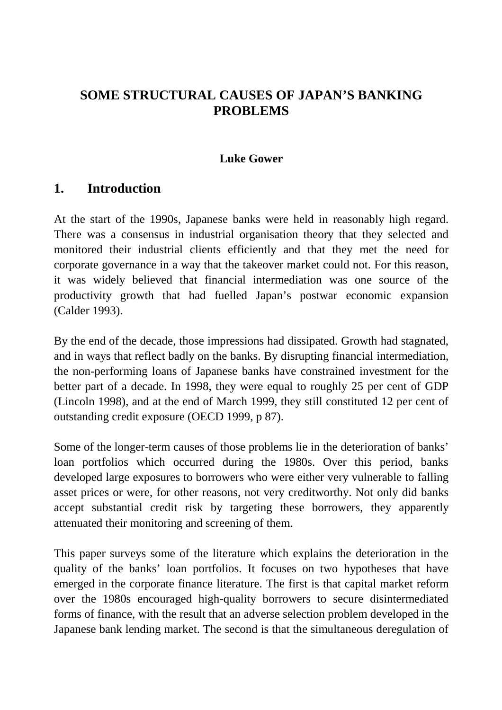# **SOME STRUCTURAL CAUSES OF JAPAN'S BANKING PROBLEMS**

#### **Luke Gower**

### **1. Introduction**

At the start of the 1990s, Japanese banks were held in reasonably high regard. There was a consensus in industrial organisation theory that they selected and monitored their industrial clients efficiently and that they met the need for corporate governance in a way that the takeover market could not. For this reason, it was widely believed that financial intermediation was one source of the productivity growth that had fuelled Japan's postwar economic expansion (Calder 1993).

By the end of the decade, those impressions had dissipated. Growth had stagnated, and in ways that reflect badly on the banks. By disrupting financial intermediation, the non-performing loans of Japanese banks have constrained investment for the better part of a decade. In 1998, they were equal to roughly 25 per cent of GDP (Lincoln 1998), and at the end of March 1999, they still constituted 12 per cent of outstanding credit exposure (OECD 1999, p 87).

Some of the longer-term causes of those problems lie in the deterioration of banks' loan portfolios which occurred during the 1980s. Over this period, banks developed large exposures to borrowers who were either very vulnerable to falling asset prices or were, for other reasons, not very creditworthy. Not only did banks accept substantial credit risk by targeting these borrowers, they apparently attenuated their monitoring and screening of them.

This paper surveys some of the literature which explains the deterioration in the quality of the banks' loan portfolios. It focuses on two hypotheses that have emerged in the corporate finance literature. The first is that capital market reform over the 1980s encouraged high-quality borrowers to secure disintermediated forms of finance, with the result that an adverse selection problem developed in the Japanese bank lending market. The second is that the simultaneous deregulation of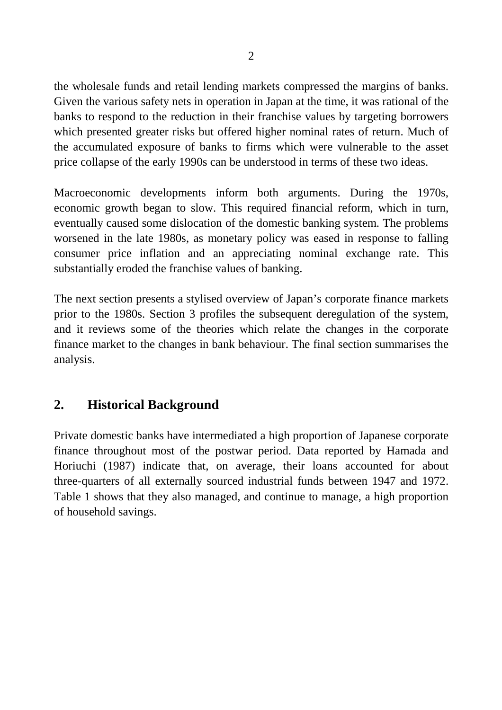the wholesale funds and retail lending markets compressed the margins of banks. Given the various safety nets in operation in Japan at the time, it was rational of the banks to respond to the reduction in their franchise values by targeting borrowers which presented greater risks but offered higher nominal rates of return. Much of the accumulated exposure of banks to firms which were vulnerable to the asset price collapse of the early 1990s can be understood in terms of these two ideas.

Macroeconomic developments inform both arguments. During the 1970s, economic growth began to slow. This required financial reform, which in turn, eventually caused some dislocation of the domestic banking system. The problems worsened in the late 1980s, as monetary policy was eased in response to falling consumer price inflation and an appreciating nominal exchange rate. This substantially eroded the franchise values of banking.

The next section presents a stylised overview of Japan's corporate finance markets prior to the 1980s. Section 3 profiles the subsequent deregulation of the system, and it reviews some of the theories which relate the changes in the corporate finance market to the changes in bank behaviour. The final section summarises the analysis.

# **2. Historical Background**

Private domestic banks have intermediated a high proportion of Japanese corporate finance throughout most of the postwar period. Data reported by Hamada and Horiuchi (1987) indicate that, on average, their loans accounted for about three-quarters of all externally sourced industrial funds between 1947 and 1972. Table 1 shows that they also managed, and continue to manage, a high proportion of household savings.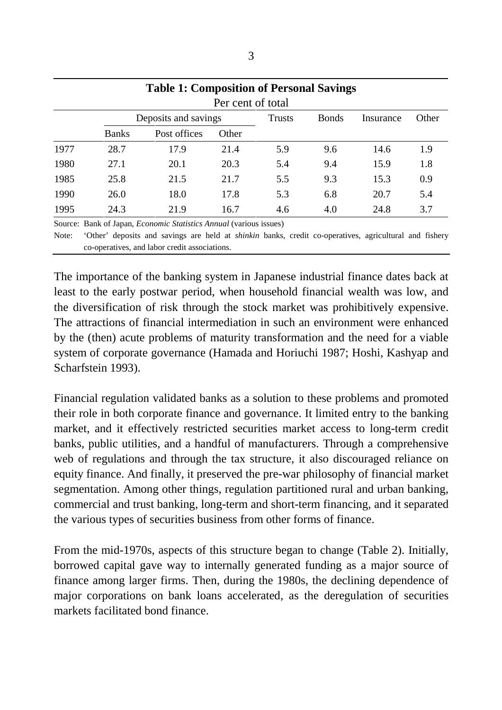|      |              | <b>Table 1: Composition of Personal Savings</b>                           | Per cent of total |               |              |           |       |
|------|--------------|---------------------------------------------------------------------------|-------------------|---------------|--------------|-----------|-------|
|      |              | Deposits and savings                                                      |                   | <b>Trusts</b> | <b>Bonds</b> | Insurance | Other |
|      | <b>Banks</b> | Post offices                                                              | Other             |               |              |           |       |
| 1977 | 28.7         | 17.9                                                                      | 21.4              | 5.9           | 9.6          | 14.6      | 1.9   |
| 1980 | 27.1         | 20.1                                                                      | 20.3              | 5.4           | 9.4          | 15.9      | 1.8   |
| 1985 | 25.8         | 21.5                                                                      | 21.7              | 5.5           | 9.3          | 15.3      | 0.9   |
| 1990 | 26.0         | 18.0                                                                      | 17.8              | 5.3           | 6.8          | 20.7      | 5.4   |
| 1995 | 24.3         | 21.9                                                                      | 16.7              | 4.6           | 4.0          | 24.8      | 3.7   |
|      |              | Source: Bank of Japan, <i>Economic Statistics Annual</i> (various issues) |                   |               |              |           |       |

Note: 'Other' deposits and savings are held at *shinkin* banks, credit co-operatives, agricultural and fishery co-operatives, and labor credit associations.

The importance of the banking system in Japanese industrial finance dates back at least to the early postwar period, when household financial wealth was low, and the diversification of risk through the stock market was prohibitively expensive. The attractions of financial intermediation in such an environment were enhanced by the (then) acute problems of maturity transformation and the need for a viable system of corporate governance (Hamada and Horiuchi 1987; Hoshi, Kashyap and Scharfstein 1993).

Financial regulation validated banks as a solution to these problems and promoted their role in both corporate finance and governance. It limited entry to the banking market, and it effectively restricted securities market access to long-term credit banks, public utilities, and a handful of manufacturers. Through a comprehensive web of regulations and through the tax structure, it also discouraged reliance on equity finance. And finally, it preserved the pre-war philosophy of financial market segmentation. Among other things, regulation partitioned rural and urban banking, commercial and trust banking, long-term and short-term financing, and it separated the various types of securities business from other forms of finance.

From the mid-1970s, aspects of this structure began to change (Table 2). Initially, borrowed capital gave way to internally generated funding as a major source of finance among larger firms. Then, during the 1980s, the declining dependence of major corporations on bank loans accelerated, as the deregulation of securities markets facilitated bond finance.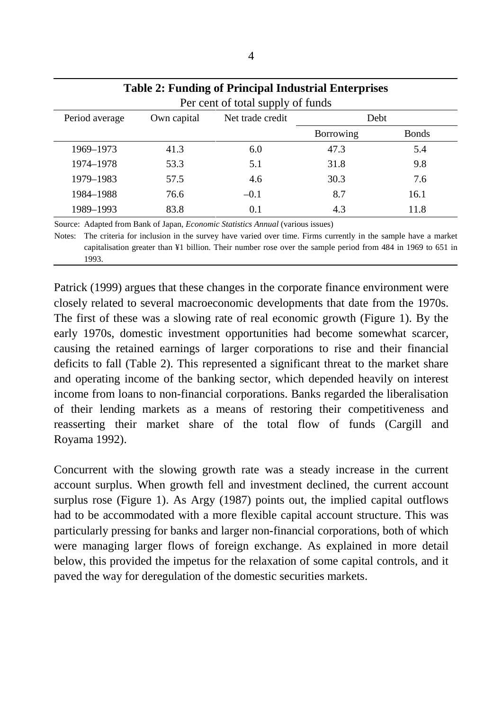| <b>Table 2: Funding of Principal Industrial Enterprises</b> |             |                  |                  |              |  |  |
|-------------------------------------------------------------|-------------|------------------|------------------|--------------|--|--|
| Per cent of total supply of funds                           |             |                  |                  |              |  |  |
| Period average                                              | Own capital | Net trade credit | Debt             |              |  |  |
|                                                             |             |                  | <b>Borrowing</b> | <b>Bonds</b> |  |  |
| 1969-1973                                                   | 41.3        | 6.0              | 47.3             | 5.4          |  |  |
| 1974-1978                                                   | 53.3        | 5.1              | 31.8             | 9.8          |  |  |
| 1979-1983                                                   | 57.5        | 4.6              | 30.3             | 7.6          |  |  |
| 1984-1988                                                   | 76.6        | $-0.1$           | 8.7              | 16.1         |  |  |
| 1989-1993                                                   | 83.8        | 0.1              | 4.3              | 11.8         |  |  |

Source: Adapted from Bank of Japan, *Economic Statistics Annual* (various issues) Notes: The criteria for inclusion in the survey have varied over time. Firms currently in the sample have a market capitalisation greater than ¥1 billion. Their number rose over the sample period from 484 in 1969 to 651 in 1993.

Patrick (1999) argues that these changes in the corporate finance environment were closely related to several macroeconomic developments that date from the 1970s. The first of these was a slowing rate of real economic growth (Figure 1). By the early 1970s, domestic investment opportunities had become somewhat scarcer, causing the retained earnings of larger corporations to rise and their financial deficits to fall (Table 2). This represented a significant threat to the market share and operating income of the banking sector, which depended heavily on interest income from loans to non-financial corporations. Banks regarded the liberalisation of their lending markets as a means of restoring their competitiveness and reasserting their market share of the total flow of funds (Cargill and Royama 1992).

Concurrent with the slowing growth rate was a steady increase in the current account surplus. When growth fell and investment declined, the current account surplus rose (Figure 1). As Argy (1987) points out, the implied capital outflows had to be accommodated with a more flexible capital account structure. This was particularly pressing for banks and larger non-financial corporations, both of which were managing larger flows of foreign exchange. As explained in more detail below, this provided the impetus for the relaxation of some capital controls, and it paved the way for deregulation of the domestic securities markets.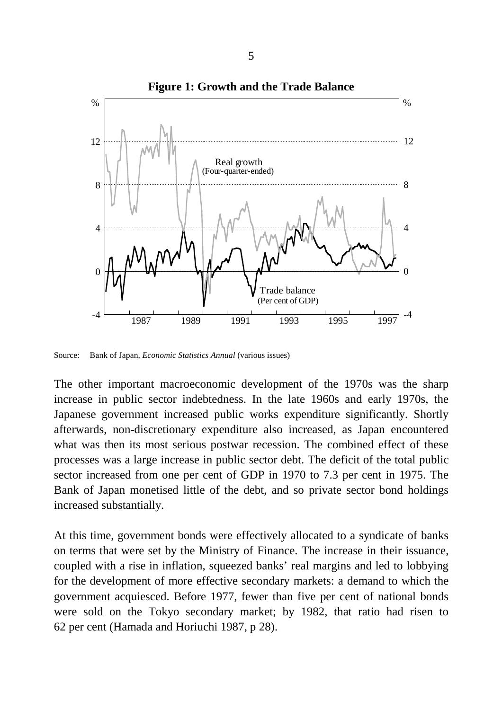

Source: Bank of Japan, *Economic Statistics Annual* (various issues)

The other important macroeconomic development of the 1970s was the sharp increase in public sector indebtedness. In the late 1960s and early 1970s, the Japanese government increased public works expenditure significantly. Shortly afterwards, non-discretionary expenditure also increased, as Japan encountered what was then its most serious postwar recession. The combined effect of these processes was a large increase in public sector debt. The deficit of the total public sector increased from one per cent of GDP in 1970 to 7.3 per cent in 1975. The Bank of Japan monetised little of the debt, and so private sector bond holdings increased substantially.

At this time, government bonds were effectively allocated to a syndicate of banks on terms that were set by the Ministry of Finance. The increase in their issuance, coupled with a rise in inflation, squeezed banks' real margins and led to lobbying for the development of more effective secondary markets: a demand to which the government acquiesced. Before 1977, fewer than five per cent of national bonds were sold on the Tokyo secondary market; by 1982, that ratio had risen to 62 per cent (Hamada and Horiuchi 1987, p 28).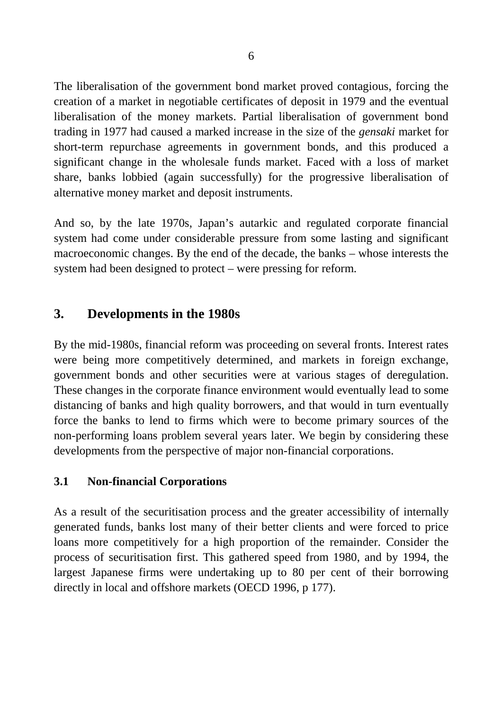The liberalisation of the government bond market proved contagious, forcing the creation of a market in negotiable certificates of deposit in 1979 and the eventual liberalisation of the money markets. Partial liberalisation of government bond trading in 1977 had caused a marked increase in the size of the *gensaki* market for short-term repurchase agreements in government bonds, and this produced a significant change in the wholesale funds market. Faced with a loss of market share, banks lobbied (again successfully) for the progressive liberalisation of alternative money market and deposit instruments.

And so, by the late 1970s, Japan's autarkic and regulated corporate financial system had come under considerable pressure from some lasting and significant macroeconomic changes. By the end of the decade, the banks – whose interests the system had been designed to protect – were pressing for reform.

# **3. Developments in the 1980s**

By the mid-1980s, financial reform was proceeding on several fronts. Interest rates were being more competitively determined, and markets in foreign exchange, government bonds and other securities were at various stages of deregulation. These changes in the corporate finance environment would eventually lead to some distancing of banks and high quality borrowers, and that would in turn eventually force the banks to lend to firms which were to become primary sources of the non-performing loans problem several years later. We begin by considering these developments from the perspective of major non-financial corporations.

### **3.1 Non-financial Corporations**

As a result of the securitisation process and the greater accessibility of internally generated funds, banks lost many of their better clients and were forced to price loans more competitively for a high proportion of the remainder. Consider the process of securitisation first. This gathered speed from 1980, and by 1994, the largest Japanese firms were undertaking up to 80 per cent of their borrowing directly in local and offshore markets (OECD 1996, p 177).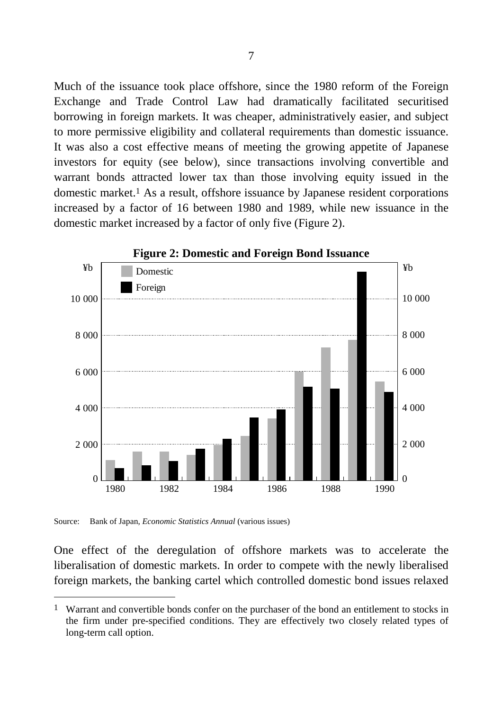Much of the issuance took place offshore, since the 1980 reform of the Foreign Exchange and Trade Control Law had dramatically facilitated securitised borrowing in foreign markets. It was cheaper, administratively easier, and subject to more permissive eligibility and collateral requirements than domestic issuance. It was also a cost effective means of meeting the growing appetite of Japanese investors for equity (see below), since transactions involving convertible and warrant bonds attracted lower tax than those involving equity issued in the domestic market.1 As a result, offshore issuance by Japanese resident corporations increased by a factor of 16 between 1980 and 1989, while new issuance in the domestic market increased by a factor of only five (Figure 2).



Source: Bank of Japan, *Economic Statistics Annual* (various issues)

 $\overline{a}$ 

One effect of the deregulation of offshore markets was to accelerate the liberalisation of domestic markets. In order to compete with the newly liberalised foreign markets, the banking cartel which controlled domestic bond issues relaxed

<sup>1</sup> Warrant and convertible bonds confer on the purchaser of the bond an entitlement to stocks in the firm under pre-specified conditions. They are effectively two closely related types of long-term call option.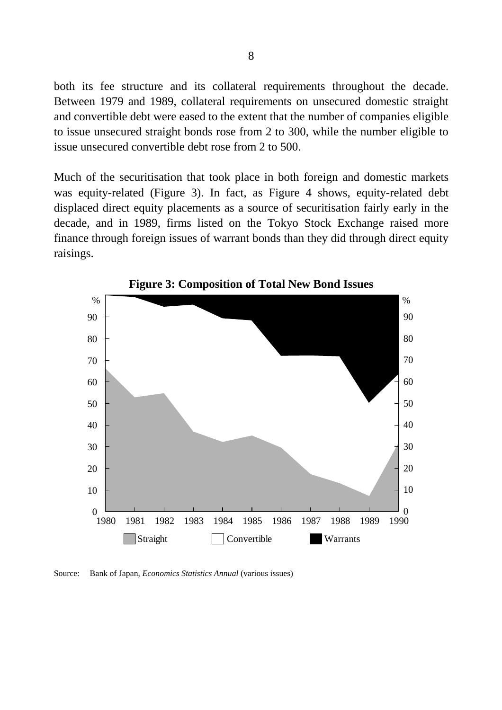both its fee structure and its collateral requirements throughout the decade. Between 1979 and 1989, collateral requirements on unsecured domestic straight and convertible debt were eased to the extent that the number of companies eligible to issue unsecured straight bonds rose from 2 to 300, while the number eligible to issue unsecured convertible debt rose from 2 to 500.

Much of the securitisation that took place in both foreign and domestic markets was equity-related (Figure 3). In fact, as Figure 4 shows, equity-related debt displaced direct equity placements as a source of securitisation fairly early in the decade, and in 1989, firms listed on the Tokyo Stock Exchange raised more finance through foreign issues of warrant bonds than they did through direct equity raisings.



**Figure 3: Composition of Total New Bond Issues**

Source: Bank of Japan, *Economics Statistics Annual* (various issues)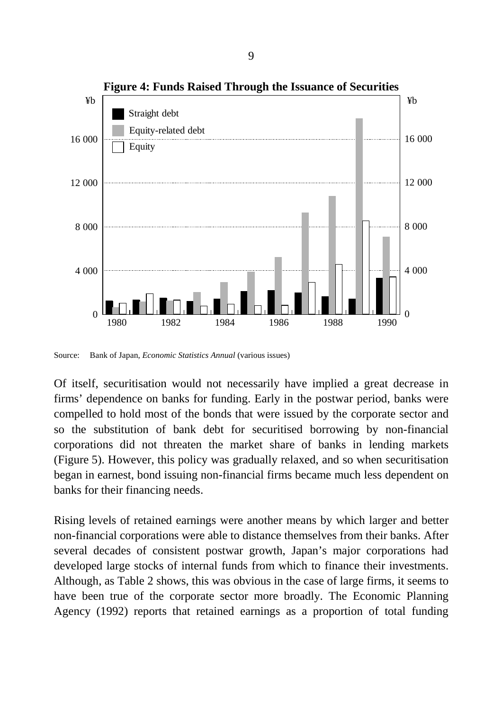

Source: Bank of Japan, *Economic Statistics Annual* (various issues)

Of itself, securitisation would not necessarily have implied a great decrease in firms' dependence on banks for funding. Early in the postwar period, banks were compelled to hold most of the bonds that were issued by the corporate sector and so the substitution of bank debt for securitised borrowing by non-financial corporations did not threaten the market share of banks in lending markets (Figure 5). However, this policy was gradually relaxed, and so when securitisation began in earnest, bond issuing non-financial firms became much less dependent on banks for their financing needs.

Rising levels of retained earnings were another means by which larger and better non-financial corporations were able to distance themselves from their banks. After several decades of consistent postwar growth, Japan's major corporations had developed large stocks of internal funds from which to finance their investments. Although, as Table 2 shows, this was obvious in the case of large firms, it seems to have been true of the corporate sector more broadly. The Economic Planning Agency (1992) reports that retained earnings as a proportion of total funding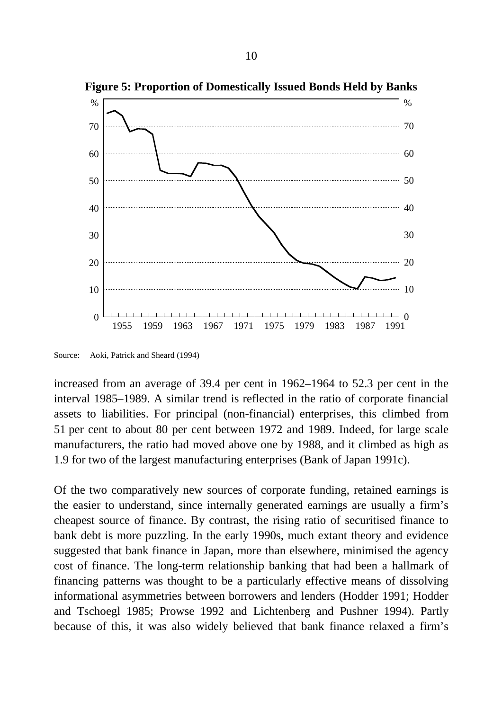

**Figure 5: Proportion of Domestically Issued Bonds Held by Banks**

Source: Aoki, Patrick and Sheard (1994)

increased from an average of 39.4 per cent in 1962–1964 to 52.3 per cent in the interval 1985–1989. A similar trend is reflected in the ratio of corporate financial assets to liabilities. For principal (non-financial) enterprises, this climbed from 51 per cent to about 80 per cent between 1972 and 1989. Indeed, for large scale manufacturers, the ratio had moved above one by 1988, and it climbed as high as 1.9 for two of the largest manufacturing enterprises (Bank of Japan 1991c).

Of the two comparatively new sources of corporate funding, retained earnings is the easier to understand, since internally generated earnings are usually a firm's cheapest source of finance. By contrast, the rising ratio of securitised finance to bank debt is more puzzling. In the early 1990s, much extant theory and evidence suggested that bank finance in Japan, more than elsewhere, minimised the agency cost of finance. The long-term relationship banking that had been a hallmark of financing patterns was thought to be a particularly effective means of dissolving informational asymmetries between borrowers and lenders (Hodder 1991; Hodder and Tschoegl 1985; Prowse 1992 and Lichtenberg and Pushner 1994). Partly because of this, it was also widely believed that bank finance relaxed a firm's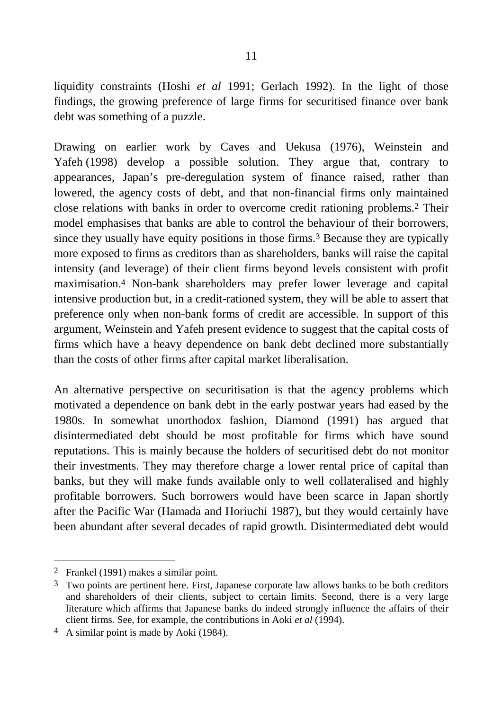liquidity constraints (Hoshi *et al* 1991; Gerlach 1992). In the light of those findings, the growing preference of large firms for securitised finance over bank debt was something of a puzzle.

Drawing on earlier work by Caves and Uekusa (1976), Weinstein and Yafeh (1998) develop a possible solution. They argue that, contrary to appearances, Japan's pre-deregulation system of finance raised, rather than lowered, the agency costs of debt, and that non-financial firms only maintained close relations with banks in order to overcome credit rationing problems.2 Their model emphasises that banks are able to control the behaviour of their borrowers, since they usually have equity positions in those firms.3 Because they are typically more exposed to firms as creditors than as shareholders, banks will raise the capital intensity (and leverage) of their client firms beyond levels consistent with profit maximisation.4 Non-bank shareholders may prefer lower leverage and capital intensive production but, in a credit-rationed system, they will be able to assert that preference only when non-bank forms of credit are accessible. In support of this argument, Weinstein and Yafeh present evidence to suggest that the capital costs of firms which have a heavy dependence on bank debt declined more substantially than the costs of other firms after capital market liberalisation.

An alternative perspective on securitisation is that the agency problems which motivated a dependence on bank debt in the early postwar years had eased by the 1980s. In somewhat unorthodox fashion, Diamond (1991) has argued that disintermediated debt should be most profitable for firms which have sound reputations. This is mainly because the holders of securitised debt do not monitor their investments. They may therefore charge a lower rental price of capital than banks, but they will make funds available only to well collateralised and highly profitable borrowers. Such borrowers would have been scarce in Japan shortly after the Pacific War (Hamada and Horiuchi 1987), but they would certainly have been abundant after several decades of rapid growth. Disintermediated debt would

<sup>2</sup> Frankel (1991) makes a similar point.

<sup>&</sup>lt;sup>3</sup> Two points are pertinent here. First, Japanese corporate law allows banks to be both creditors and shareholders of their clients, subject to certain limits. Second, there is a very large literature which affirms that Japanese banks do indeed strongly influence the affairs of their client firms. See, for example, the contributions in Aoki *et al* (1994).

<sup>4</sup> A similar point is made by Aoki (1984).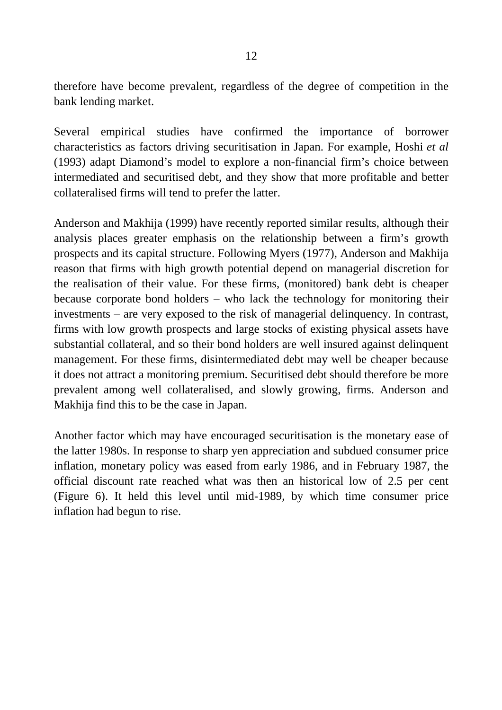therefore have become prevalent, regardless of the degree of competition in the bank lending market.

Several empirical studies have confirmed the importance of borrower characteristics as factors driving securitisation in Japan. For example, Hoshi *et al* (1993) adapt Diamond's model to explore a non-financial firm's choice between intermediated and securitised debt, and they show that more profitable and better collateralised firms will tend to prefer the latter.

Anderson and Makhija (1999) have recently reported similar results, although their analysis places greater emphasis on the relationship between a firm's growth prospects and its capital structure. Following Myers (1977), Anderson and Makhija reason that firms with high growth potential depend on managerial discretion for the realisation of their value. For these firms, (monitored) bank debt is cheaper because corporate bond holders – who lack the technology for monitoring their investments – are very exposed to the risk of managerial delinquency. In contrast, firms with low growth prospects and large stocks of existing physical assets have substantial collateral, and so their bond holders are well insured against delinquent management. For these firms, disintermediated debt may well be cheaper because it does not attract a monitoring premium. Securitised debt should therefore be more prevalent among well collateralised, and slowly growing, firms. Anderson and Makhija find this to be the case in Japan.

Another factor which may have encouraged securitisation is the monetary ease of the latter 1980s. In response to sharp yen appreciation and subdued consumer price inflation, monetary policy was eased from early 1986, and in February 1987, the official discount rate reached what was then an historical low of 2.5 per cent (Figure 6). It held this level until mid-1989, by which time consumer price inflation had begun to rise.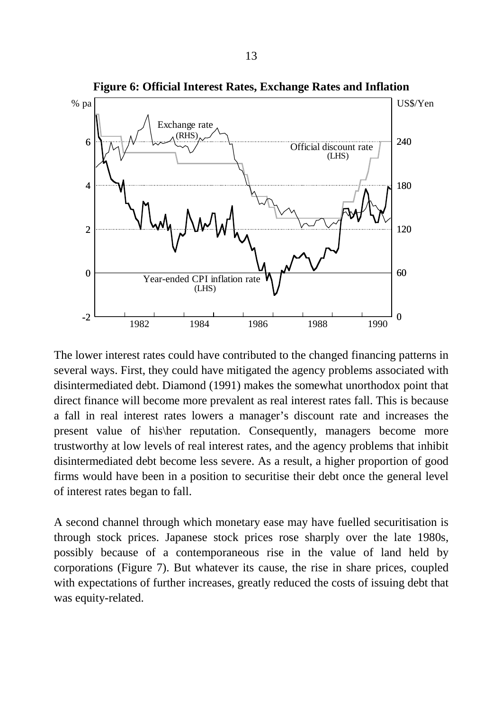

**Figure 6: Official Interest Rates, Exchange Rates and Inflation**

The lower interest rates could have contributed to the changed financing patterns in several ways. First, they could have mitigated the agency problems associated with disintermediated debt. Diamond (1991) makes the somewhat unorthodox point that direct finance will become more prevalent as real interest rates fall. This is because a fall in real interest rates lowers a manager's discount rate and increases the present value of his\her reputation. Consequently, managers become more trustworthy at low levels of real interest rates, and the agency problems that inhibit disintermediated debt become less severe. As a result, a higher proportion of good firms would have been in a position to securitise their debt once the general level of interest rates began to fall.

A second channel through which monetary ease may have fuelled securitisation is through stock prices. Japanese stock prices rose sharply over the late 1980s, possibly because of a contemporaneous rise in the value of land held by corporations (Figure 7). But whatever its cause, the rise in share prices, coupled with expectations of further increases, greatly reduced the costs of issuing debt that was equity-related.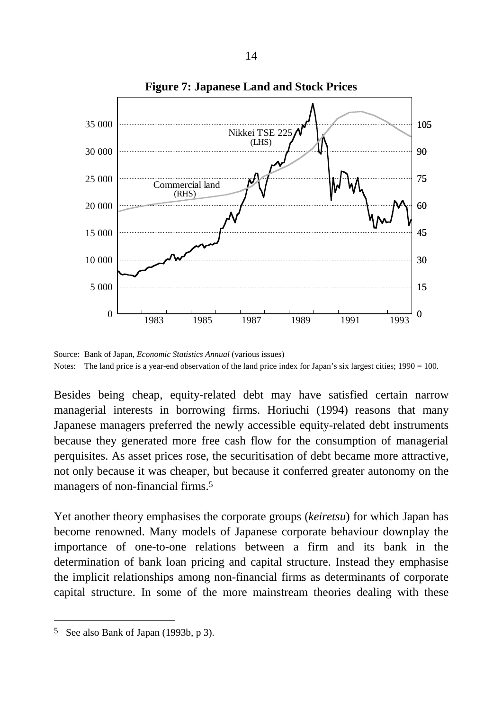

**Figure 7: Japanese Land and Stock Prices**

Source: Bank of Japan, *Economic Statistics Annual* (various issues) Notes: The land price is a year-end observation of the land price index for Japan's six largest cities;  $1990 = 100$ .

Besides being cheap, equity-related debt may have satisfied certain narrow managerial interests in borrowing firms. Horiuchi (1994) reasons that many Japanese managers preferred the newly accessible equity-related debt instruments because they generated more free cash flow for the consumption of managerial perquisites. As asset prices rose, the securitisation of debt became more attractive, not only because it was cheaper, but because it conferred greater autonomy on the managers of non-financial firms.5

Yet another theory emphasises the corporate groups (*keiretsu*) for which Japan has become renowned. Many models of Japanese corporate behaviour downplay the importance of one-to-one relations between a firm and its bank in the determination of bank loan pricing and capital structure. Instead they emphasise the implicit relationships among non-financial firms as determinants of corporate capital structure. In some of the more mainstream theories dealing with these

<sup>5</sup> See also Bank of Japan (1993b, p 3).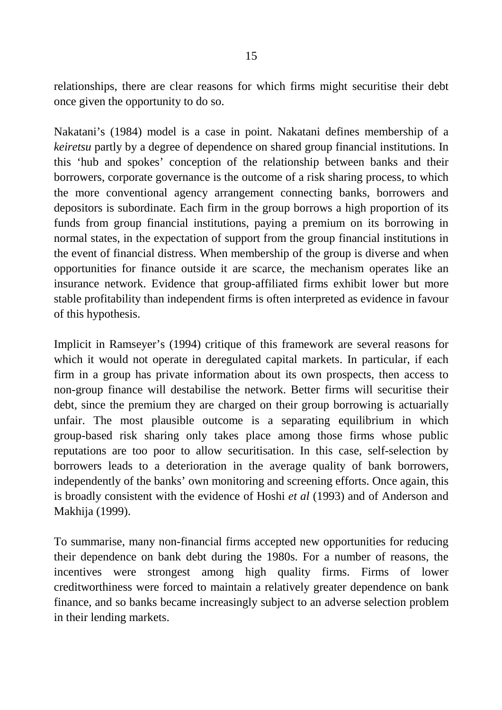relationships, there are clear reasons for which firms might securitise their debt once given the opportunity to do so.

Nakatani's (1984) model is a case in point. Nakatani defines membership of a *keiretsu* partly by a degree of dependence on shared group financial institutions. In this 'hub and spokes' conception of the relationship between banks and their borrowers, corporate governance is the outcome of a risk sharing process, to which the more conventional agency arrangement connecting banks, borrowers and depositors is subordinate. Each firm in the group borrows a high proportion of its funds from group financial institutions, paying a premium on its borrowing in normal states, in the expectation of support from the group financial institutions in the event of financial distress. When membership of the group is diverse and when opportunities for finance outside it are scarce, the mechanism operates like an insurance network. Evidence that group-affiliated firms exhibit lower but more stable profitability than independent firms is often interpreted as evidence in favour of this hypothesis.

Implicit in Ramseyer's (1994) critique of this framework are several reasons for which it would not operate in deregulated capital markets. In particular, if each firm in a group has private information about its own prospects, then access to non-group finance will destabilise the network. Better firms will securitise their debt, since the premium they are charged on their group borrowing is actuarially unfair. The most plausible outcome is a separating equilibrium in which group-based risk sharing only takes place among those firms whose public reputations are too poor to allow securitisation. In this case, self-selection by borrowers leads to a deterioration in the average quality of bank borrowers, independently of the banks' own monitoring and screening efforts. Once again, this is broadly consistent with the evidence of Hoshi *et al* (1993) and of Anderson and Makhija (1999).

To summarise, many non-financial firms accepted new opportunities for reducing their dependence on bank debt during the 1980s. For a number of reasons, the incentives were strongest among high quality firms. Firms of lower creditworthiness were forced to maintain a relatively greater dependence on bank finance, and so banks became increasingly subject to an adverse selection problem in their lending markets.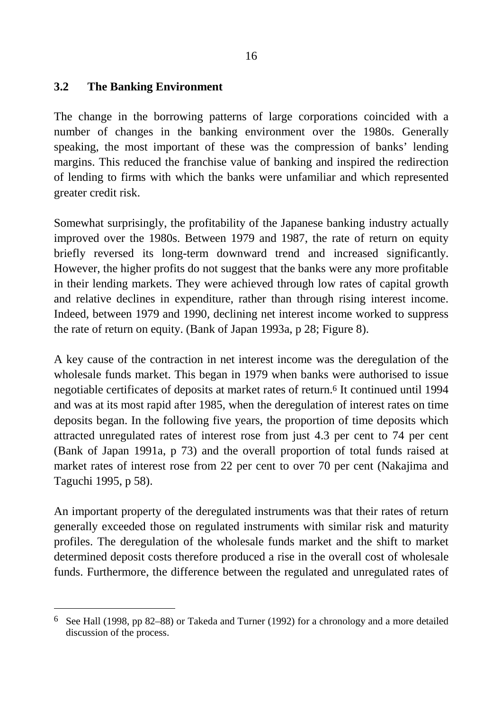#### **3.2 The Banking Environment**

 $\overline{a}$ 

The change in the borrowing patterns of large corporations coincided with a number of changes in the banking environment over the 1980s. Generally speaking, the most important of these was the compression of banks' lending margins. This reduced the franchise value of banking and inspired the redirection of lending to firms with which the banks were unfamiliar and which represented greater credit risk.

Somewhat surprisingly, the profitability of the Japanese banking industry actually improved over the 1980s. Between 1979 and 1987, the rate of return on equity briefly reversed its long-term downward trend and increased significantly. However, the higher profits do not suggest that the banks were any more profitable in their lending markets. They were achieved through low rates of capital growth and relative declines in expenditure, rather than through rising interest income. Indeed, between 1979 and 1990, declining net interest income worked to suppress the rate of return on equity. (Bank of Japan 1993a, p 28; Figure 8).

A key cause of the contraction in net interest income was the deregulation of the wholesale funds market. This began in 1979 when banks were authorised to issue negotiable certificates of deposits at market rates of return.6 It continued until 1994 and was at its most rapid after 1985, when the deregulation of interest rates on time deposits began. In the following five years, the proportion of time deposits which attracted unregulated rates of interest rose from just 4.3 per cent to 74 per cent (Bank of Japan 1991a, p 73) and the overall proportion of total funds raised at market rates of interest rose from 22 per cent to over 70 per cent (Nakajima and Taguchi 1995, p 58).

An important property of the deregulated instruments was that their rates of return generally exceeded those on regulated instruments with similar risk and maturity profiles. The deregulation of the wholesale funds market and the shift to market determined deposit costs therefore produced a rise in the overall cost of wholesale funds. Furthermore, the difference between the regulated and unregulated rates of

<sup>6</sup> See Hall (1998, pp 82*–*88) or Takeda and Turner (1992) for a chronology and a more detailed discussion of the process.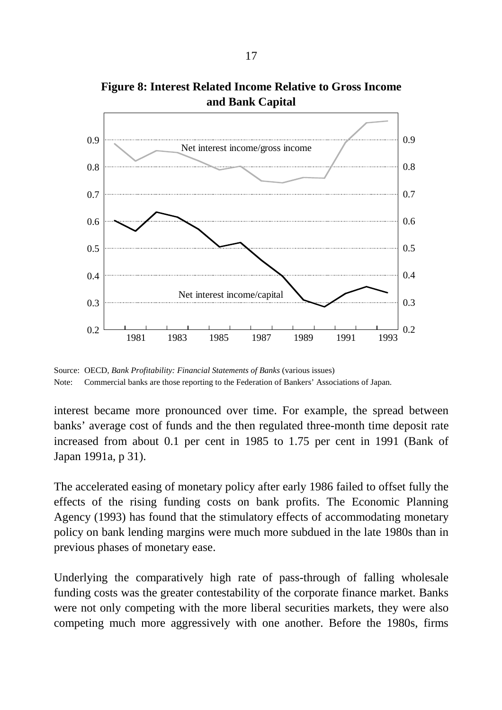

**Figure 8: Interest Related Income Relative to Gross Income and Bank Capital**

Source: OECD, *Bank Profitability: Financial Statements of Banks* (various issues) Note: Commercial banks are those reporting to the Federation of Bankers' Associations of Japan.

interest became more pronounced over time. For example, the spread between banks' average cost of funds and the then regulated three-month time deposit rate increased from about 0.1 per cent in 1985 to 1.75 per cent in 1991 (Bank of Japan 1991a, p 31).

The accelerated easing of monetary policy after early 1986 failed to offset fully the effects of the rising funding costs on bank profits. The Economic Planning Agency (1993) has found that the stimulatory effects of accommodating monetary policy on bank lending margins were much more subdued in the late 1980s than in previous phases of monetary ease.

Underlying the comparatively high rate of pass-through of falling wholesale funding costs was the greater contestability of the corporate finance market. Banks were not only competing with the more liberal securities markets, they were also competing much more aggressively with one another. Before the 1980s, firms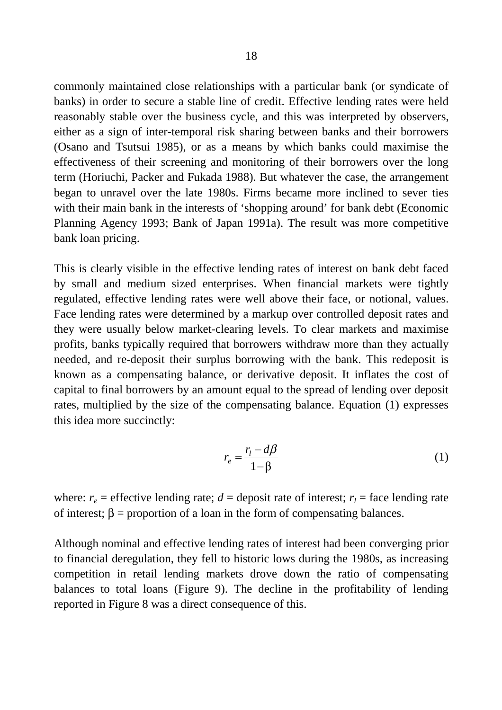commonly maintained close relationships with a particular bank (or syndicate of banks) in order to secure a stable line of credit. Effective lending rates were held reasonably stable over the business cycle, and this was interpreted by observers, either as a sign of inter-temporal risk sharing between banks and their borrowers (Osano and Tsutsui 1985), or as a means by which banks could maximise the effectiveness of their screening and monitoring of their borrowers over the long term (Horiuchi, Packer and Fukada 1988). But whatever the case, the arrangement began to unravel over the late 1980s. Firms became more inclined to sever ties with their main bank in the interests of 'shopping around' for bank debt (Economic Planning Agency 1993; Bank of Japan 1991a). The result was more competitive bank loan pricing.

This is clearly visible in the effective lending rates of interest on bank debt faced by small and medium sized enterprises. When financial markets were tightly regulated, effective lending rates were well above their face, or notional, values. Face lending rates were determined by a markup over controlled deposit rates and they were usually below market-clearing levels. To clear markets and maximise profits, banks typically required that borrowers withdraw more than they actually needed, and re-deposit their surplus borrowing with the bank. This redeposit is known as a compensating balance, or derivative deposit. It inflates the cost of capital to final borrowers by an amount equal to the spread of lending over deposit rates, multiplied by the size of the compensating balance. Equation (1) expresses this idea more succinctly:

$$
r_e = \frac{r_l - d\beta}{1 - \beta} \tag{1}
$$

where:  $r_e$  = effective lending rate;  $d$  = deposit rate of interest;  $r_l$  = face lending rate of interest;  $\beta$  = proportion of a loan in the form of compensating balances.

Although nominal and effective lending rates of interest had been converging prior to financial deregulation, they fell to historic lows during the 1980s, as increasing competition in retail lending markets drove down the ratio of compensating balances to total loans (Figure 9). The decline in the profitability of lending reported in Figure 8 was a direct consequence of this.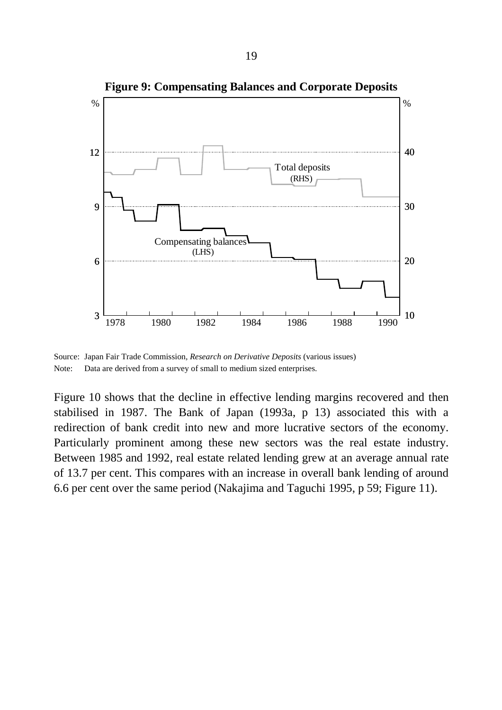

**Figure 9: Compensating Balances and Corporate Deposits**

Source: Japan Fair Trade Commission*, Research on Derivative Deposits* (various issues) Note: Data are derived from a survey of small to medium sized enterprises.

Figure 10 shows that the decline in effective lending margins recovered and then stabilised in 1987. The Bank of Japan (1993a, p 13) associated this with a redirection of bank credit into new and more lucrative sectors of the economy. Particularly prominent among these new sectors was the real estate industry. Between 1985 and 1992, real estate related lending grew at an average annual rate of 13.7 per cent. This compares with an increase in overall bank lending of around 6.6 per cent over the same period (Nakajima and Taguchi 1995, p 59; Figure 11).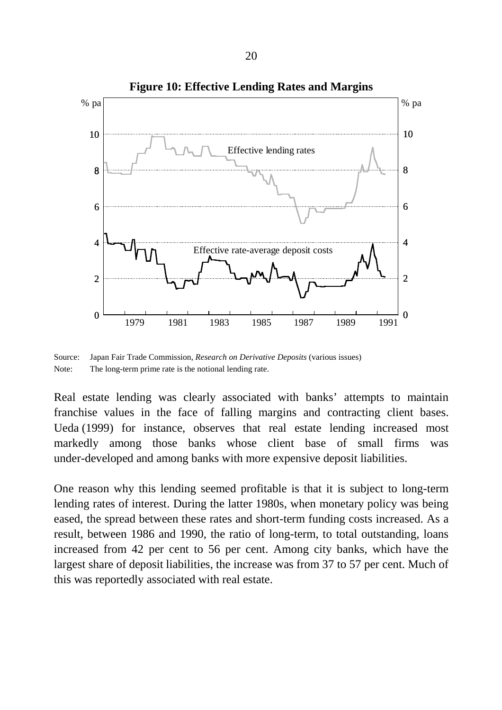

Source: Japan Fair Trade Commission, *Research on Derivative Deposits* (various issues) Note: The long-term prime rate is the notional lending rate.

Real estate lending was clearly associated with banks' attempts to maintain franchise values in the face of falling margins and contracting client bases. Ueda (1999) for instance, observes that real estate lending increased most markedly among those banks whose client base of small firms was under-developed and among banks with more expensive deposit liabilities.

One reason why this lending seemed profitable is that it is subject to long-term lending rates of interest. During the latter 1980s, when monetary policy was being eased, the spread between these rates and short-term funding costs increased. As a result, between 1986 and 1990, the ratio of long-term, to total outstanding, loans increased from 42 per cent to 56 per cent. Among city banks, which have the largest share of deposit liabilities, the increase was from 37 to 57 per cent. Much of this was reportedly associated with real estate.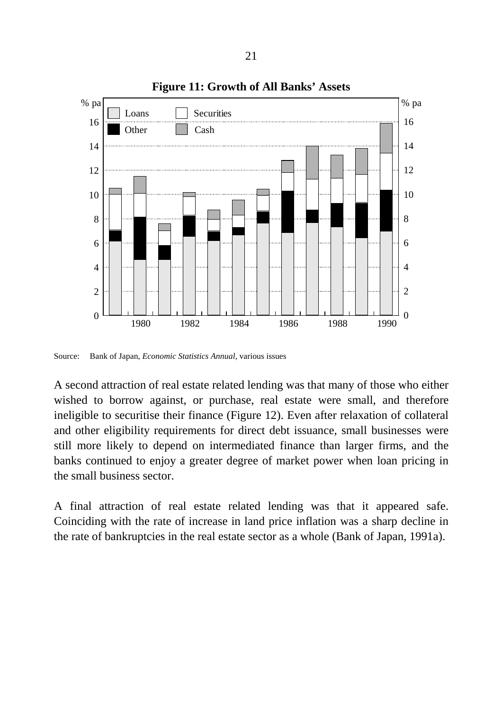

**Figure 11: Growth of All Banks' Assets**

Source: Bank of Japan, *Economic Statistics Annual*, various issues

A second attraction of real estate related lending was that many of those who either wished to borrow against, or purchase, real estate were small, and therefore ineligible to securitise their finance (Figure 12). Even after relaxation of collateral and other eligibility requirements for direct debt issuance, small businesses were still more likely to depend on intermediated finance than larger firms, and the banks continued to enjoy a greater degree of market power when loan pricing in the small business sector.

A final attraction of real estate related lending was that it appeared safe. Coinciding with the rate of increase in land price inflation was a sharp decline in the rate of bankruptcies in the real estate sector as a whole (Bank of Japan, 1991a).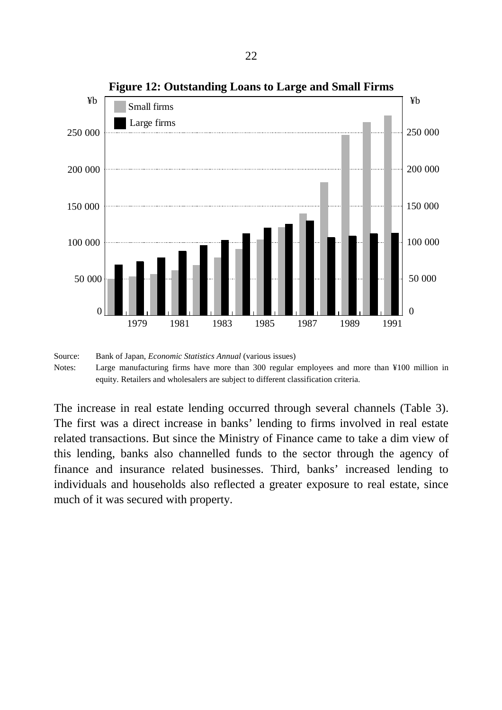

**Figure 12: Outstanding Loans to Large and Small Firms**

The increase in real estate lending occurred through several channels (Table 3). The first was a direct increase in banks' lending to firms involved in real estate related transactions. But since the Ministry of Finance came to take a dim view of this lending, banks also channelled funds to the sector through the agency of finance and insurance related businesses. Third, banks' increased lending to individuals and households also reflected a greater exposure to real estate, since much of it was secured with property.

Source: Bank of Japan, *Economic Statistics Annual* (various issues) Notes: Large manufacturing firms have more than 300 regular employees and more than ¥100 million in equity. Retailers and wholesalers are subject to different classification criteria.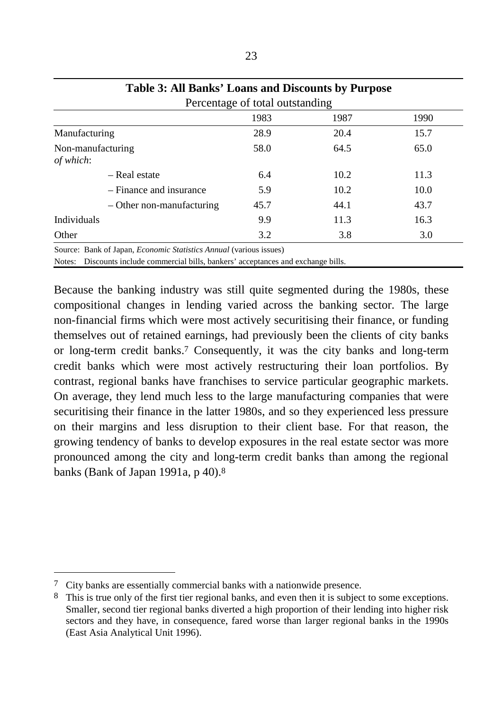| <b>Table 3: All Banks' Loans and Discounts by Purpose</b>                 |                                 |      |      |  |  |
|---------------------------------------------------------------------------|---------------------------------|------|------|--|--|
|                                                                           | Percentage of total outstanding |      |      |  |  |
|                                                                           | 1983                            | 1987 | 1990 |  |  |
| Manufacturing                                                             | 28.9                            | 20.4 | 15.7 |  |  |
| Non-manufacturing<br>of which:                                            | 58.0                            | 64.5 | 65.0 |  |  |
| - Real estate                                                             | 6.4                             | 10.2 | 11.3 |  |  |
| - Finance and insurance                                                   | 5.9                             | 10.2 | 10.0 |  |  |
| $-$ Other non-manufacturing                                               | 45.7                            | 44.1 | 43.7 |  |  |
| Individuals                                                               | 9.9                             | 11.3 | 16.3 |  |  |
| Other                                                                     | 3.2                             | 3.8  | 3.0  |  |  |
| Source: Bank of Japan, <i>Economic Statistics Annual (various issues)</i> |                                 |      |      |  |  |

Source: Bank of Japan, *Economic Statistics Annual* (various issues)

Notes: Discounts include commercial bills, bankers' acceptances and exchange bills.

Because the banking industry was still quite segmented during the 1980s, these compositional changes in lending varied across the banking sector. The large non-financial firms which were most actively securitising their finance, or funding themselves out of retained earnings, had previously been the clients of city banks or long-term credit banks.7 Consequently, it was the city banks and long-term credit banks which were most actively restructuring their loan portfolios. By contrast, regional banks have franchises to service particular geographic markets. On average, they lend much less to the large manufacturing companies that were securitising their finance in the latter 1980s, and so they experienced less pressure on their margins and less disruption to their client base. For that reason, the growing tendency of banks to develop exposures in the real estate sector was more pronounced among the city and long-term credit banks than among the regional banks (Bank of Japan 1991a, p 40).8

<sup>7</sup> City banks are essentially commercial banks with a nationwide presence.

<sup>8</sup> This is true only of the first tier regional banks, and even then it is subject to some exceptions. Smaller, second tier regional banks diverted a high proportion of their lending into higher risk sectors and they have, in consequence, fared worse than larger regional banks in the 1990s (East Asia Analytical Unit 1996).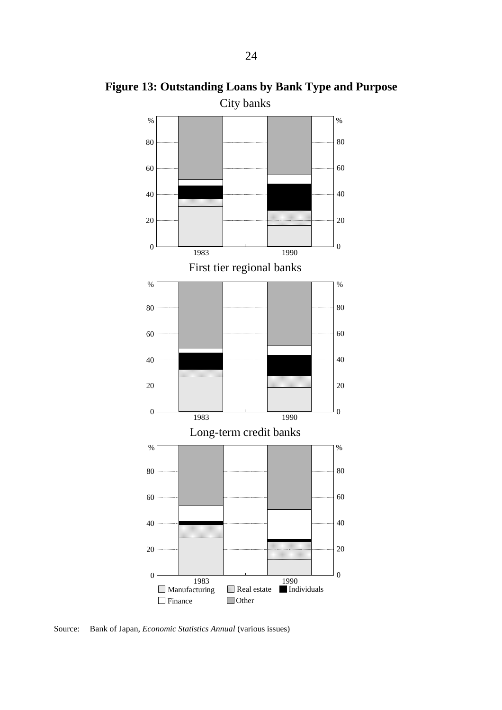

**Figure 13: Outstanding Loans by Bank Type and Purpose**

Source: Bank of Japan, *Economic Statistics Annual* (various issues)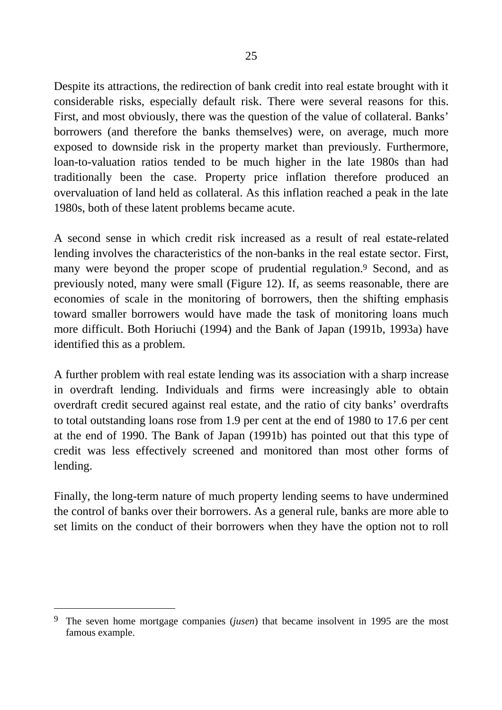Despite its attractions, the redirection of bank credit into real estate brought with it considerable risks, especially default risk. There were several reasons for this. First, and most obviously, there was the question of the value of collateral. Banks' borrowers (and therefore the banks themselves) were, on average, much more exposed to downside risk in the property market than previously. Furthermore, loan-to-valuation ratios tended to be much higher in the late 1980s than had traditionally been the case. Property price inflation therefore produced an overvaluation of land held as collateral. As this inflation reached a peak in the late 1980s, both of these latent problems became acute.

A second sense in which credit risk increased as a result of real estate-related lending involves the characteristics of the non-banks in the real estate sector. First, many were beyond the proper scope of prudential regulation.<sup>9</sup> Second, and as previously noted, many were small (Figure 12). If, as seems reasonable, there are economies of scale in the monitoring of borrowers, then the shifting emphasis toward smaller borrowers would have made the task of monitoring loans much more difficult. Both Horiuchi (1994) and the Bank of Japan (1991b, 1993a) have identified this as a problem.

A further problem with real estate lending was its association with a sharp increase in overdraft lending. Individuals and firms were increasingly able to obtain overdraft credit secured against real estate, and the ratio of city banks' overdrafts to total outstanding loans rose from 1.9 per cent at the end of 1980 to 17.6 per cent at the end of 1990. The Bank of Japan (1991b) has pointed out that this type of credit was less effectively screened and monitored than most other forms of lending.

Finally, the long-term nature of much property lending seems to have undermined the control of banks over their borrowers. As a general rule, banks are more able to set limits on the conduct of their borrowers when they have the option not to roll

<sup>9</sup> The seven home mortgage companies (*jusen*) that became insolvent in 1995 are the most famous example.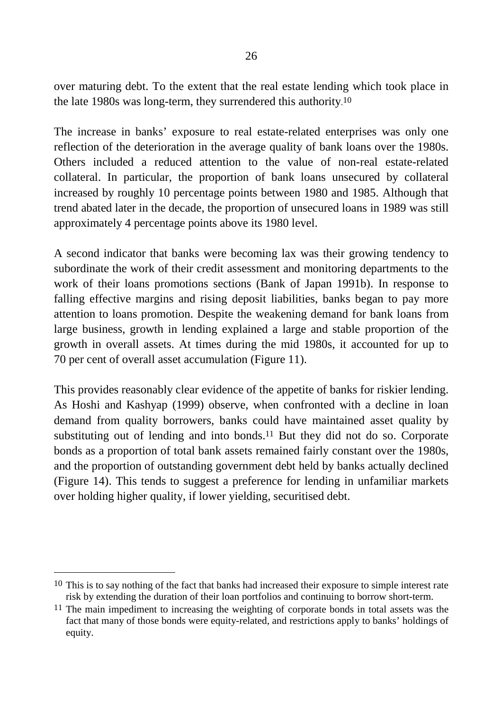over maturing debt. To the extent that the real estate lending which took place in the late 1980s was long-term, they surrendered this authority. 10

The increase in banks' exposure to real estate-related enterprises was only one reflection of the deterioration in the average quality of bank loans over the 1980s. Others included a reduced attention to the value of non-real estate-related collateral. In particular, the proportion of bank loans unsecured by collateral increased by roughly 10 percentage points between 1980 and 1985. Although that trend abated later in the decade, the proportion of unsecured loans in 1989 was still approximately 4 percentage points above its 1980 level.

A second indicator that banks were becoming lax was their growing tendency to subordinate the work of their credit assessment and monitoring departments to the work of their loans promotions sections (Bank of Japan 1991b). In response to falling effective margins and rising deposit liabilities, banks began to pay more attention to loans promotion. Despite the weakening demand for bank loans from large business, growth in lending explained a large and stable proportion of the growth in overall assets. At times during the mid 1980s, it accounted for up to 70 per cent of overall asset accumulation (Figure 11).

This provides reasonably clear evidence of the appetite of banks for riskier lending. As Hoshi and Kashyap (1999) observe, when confronted with a decline in loan demand from quality borrowers, banks could have maintained asset quality by substituting out of lending and into bonds.<sup>11</sup> But they did not do so. Corporate bonds as a proportion of total bank assets remained fairly constant over the 1980s, and the proportion of outstanding government debt held by banks actually declined (Figure 14). This tends to suggest a preference for lending in unfamiliar markets over holding higher quality, if lower yielding, securitised debt.

<sup>&</sup>lt;sup>10</sup> This is to say nothing of the fact that banks had increased their exposure to simple interest rate risk by extending the duration of their loan portfolios and continuing to borrow short-term.

<sup>&</sup>lt;sup>11</sup> The main impediment to increasing the weighting of corporate bonds in total assets was the fact that many of those bonds were equity-related, and restrictions apply to banks' holdings of equity.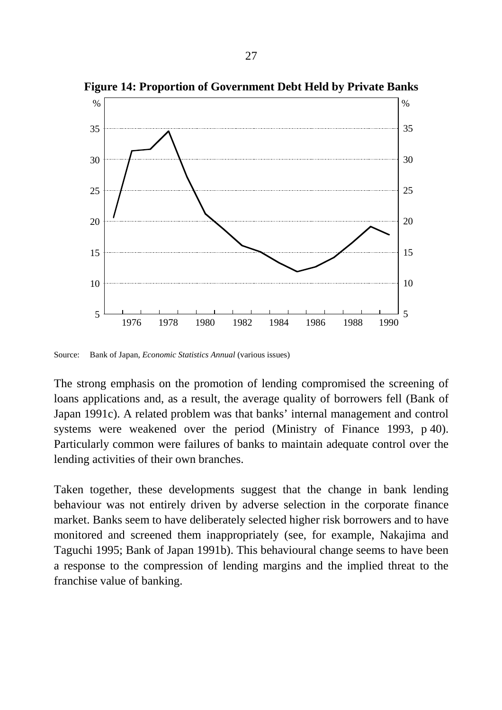

**Figure 14: Proportion of Government Debt Held by Private Banks**

Source: Bank of Japan, *Economic Statistics Annual* (various issues)

The strong emphasis on the promotion of lending compromised the screening of loans applications and, as a result, the average quality of borrowers fell (Bank of Japan 1991c). A related problem was that banks' internal management and control systems were weakened over the period (Ministry of Finance 1993, p 40). Particularly common were failures of banks to maintain adequate control over the lending activities of their own branches.

Taken together, these developments suggest that the change in bank lending behaviour was not entirely driven by adverse selection in the corporate finance market. Banks seem to have deliberately selected higher risk borrowers and to have monitored and screened them inappropriately (see, for example, Nakajima and Taguchi 1995; Bank of Japan 1991b). This behavioural change seems to have been a response to the compression of lending margins and the implied threat to the franchise value of banking.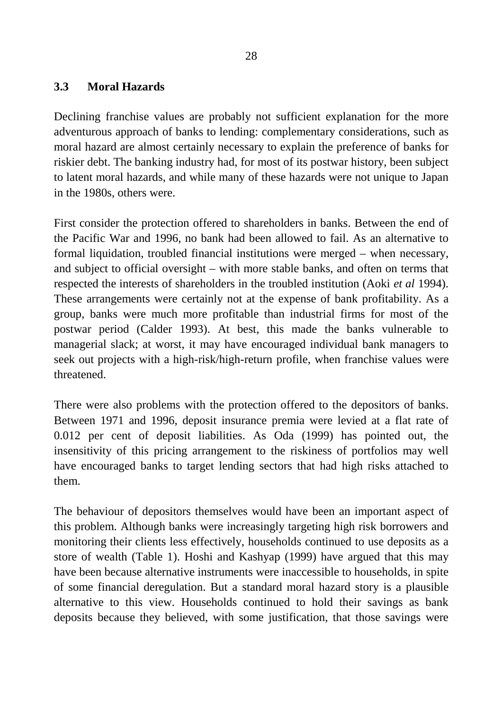#### **3.3 Moral Hazards**

Declining franchise values are probably not sufficient explanation for the more adventurous approach of banks to lending: complementary considerations, such as moral hazard are almost certainly necessary to explain the preference of banks for riskier debt. The banking industry had, for most of its postwar history, been subject to latent moral hazards, and while many of these hazards were not unique to Japan in the 1980s, others were.

First consider the protection offered to shareholders in banks. Between the end of the Pacific War and 1996, no bank had been allowed to fail. As an alternative to formal liquidation, troubled financial institutions were merged – when necessary, and subject to official oversight – with more stable banks, and often on terms that respected the interests of shareholders in the troubled institution (Aoki *et al* 1994). These arrangements were certainly not at the expense of bank profitability. As a group, banks were much more profitable than industrial firms for most of the postwar period (Calder 1993). At best, this made the banks vulnerable to managerial slack; at worst, it may have encouraged individual bank managers to seek out projects with a high-risk/high-return profile, when franchise values were threatened.

There were also problems with the protection offered to the depositors of banks. Between 1971 and 1996, deposit insurance premia were levied at a flat rate of 0.012 per cent of deposit liabilities. As Oda (1999) has pointed out, the insensitivity of this pricing arrangement to the riskiness of portfolios may well have encouraged banks to target lending sectors that had high risks attached to them.

The behaviour of depositors themselves would have been an important aspect of this problem. Although banks were increasingly targeting high risk borrowers and monitoring their clients less effectively, households continued to use deposits as a store of wealth (Table 1). Hoshi and Kashyap (1999) have argued that this may have been because alternative instruments were inaccessible to households, in spite of some financial deregulation. But a standard moral hazard story is a plausible alternative to this view. Households continued to hold their savings as bank deposits because they believed, with some justification, that those savings were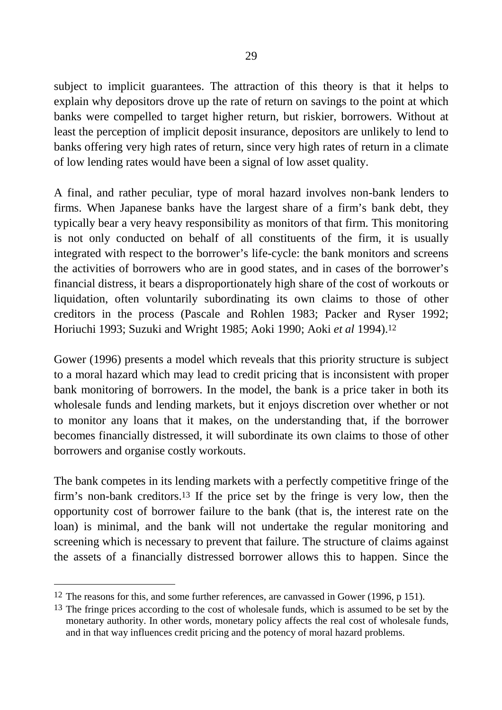subject to implicit guarantees. The attraction of this theory is that it helps to explain why depositors drove up the rate of return on savings to the point at which banks were compelled to target higher return, but riskier, borrowers. Without at least the perception of implicit deposit insurance, depositors are unlikely to lend to banks offering very high rates of return, since very high rates of return in a climate of low lending rates would have been a signal of low asset quality.

A final, and rather peculiar, type of moral hazard involves non-bank lenders to firms. When Japanese banks have the largest share of a firm's bank debt, they typically bear a very heavy responsibility as monitors of that firm. This monitoring is not only conducted on behalf of all constituents of the firm, it is usually integrated with respect to the borrower's life-cycle: the bank monitors and screens the activities of borrowers who are in good states, and in cases of the borrower's financial distress, it bears a disproportionately high share of the cost of workouts or liquidation, often voluntarily subordinating its own claims to those of other creditors in the process (Pascale and Rohlen 1983; Packer and Ryser 1992; Horiuchi 1993; Suzuki and Wright 1985; Aoki 1990; Aoki *et al* 1994).12

Gower (1996) presents a model which reveals that this priority structure is subject to a moral hazard which may lead to credit pricing that is inconsistent with proper bank monitoring of borrowers. In the model, the bank is a price taker in both its wholesale funds and lending markets, but it enjoys discretion over whether or not to monitor any loans that it makes, on the understanding that, if the borrower becomes financially distressed, it will subordinate its own claims to those of other borrowers and organise costly workouts.

The bank competes in its lending markets with a perfectly competitive fringe of the firm's non-bank creditors.13 If the price set by the fringe is very low, then the opportunity cost of borrower failure to the bank (that is, the interest rate on the loan) is minimal, and the bank will not undertake the regular monitoring and screening which is necessary to prevent that failure. The structure of claims against the assets of a financially distressed borrower allows this to happen. Since the

<sup>&</sup>lt;sup>12</sup> The reasons for this, and some further references, are canvassed in Gower (1996, p 151).

<sup>&</sup>lt;sup>13</sup> The fringe prices according to the cost of wholesale funds, which is assumed to be set by the monetary authority. In other words, monetary policy affects the real cost of wholesale funds, and in that way influences credit pricing and the potency of moral hazard problems.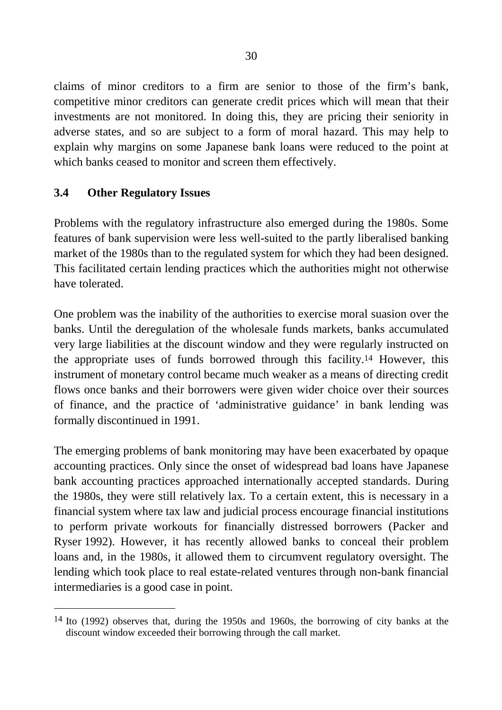claims of minor creditors to a firm are senior to those of the firm's bank, competitive minor creditors can generate credit prices which will mean that their investments are not monitored. In doing this, they are pricing their seniority in adverse states, and so are subject to a form of moral hazard. This may help to explain why margins on some Japanese bank loans were reduced to the point at which banks ceased to monitor and screen them effectively.

#### **3.4 Other Regulatory Issues**

 $\overline{a}$ 

Problems with the regulatory infrastructure also emerged during the 1980s. Some features of bank supervision were less well-suited to the partly liberalised banking market of the 1980s than to the regulated system for which they had been designed. This facilitated certain lending practices which the authorities might not otherwise have tolerated.

One problem was the inability of the authorities to exercise moral suasion over the banks. Until the deregulation of the wholesale funds markets, banks accumulated very large liabilities at the discount window and they were regularly instructed on the appropriate uses of funds borrowed through this facility.14 However, this instrument of monetary control became much weaker as a means of directing credit flows once banks and their borrowers were given wider choice over their sources of finance, and the practice of 'administrative guidance' in bank lending was formally discontinued in 1991.

The emerging problems of bank monitoring may have been exacerbated by opaque accounting practices. Only since the onset of widespread bad loans have Japanese bank accounting practices approached internationally accepted standards. During the 1980s, they were still relatively lax. To a certain extent, this is necessary in a financial system where tax law and judicial process encourage financial institutions to perform private workouts for financially distressed borrowers (Packer and Ryser 1992). However, it has recently allowed banks to conceal their problem loans and, in the 1980s, it allowed them to circumvent regulatory oversight. The lending which took place to real estate-related ventures through non-bank financial intermediaries is a good case in point.

<sup>14</sup> Ito (1992) observes that, during the 1950s and 1960s, the borrowing of city banks at the discount window exceeded their borrowing through the call market.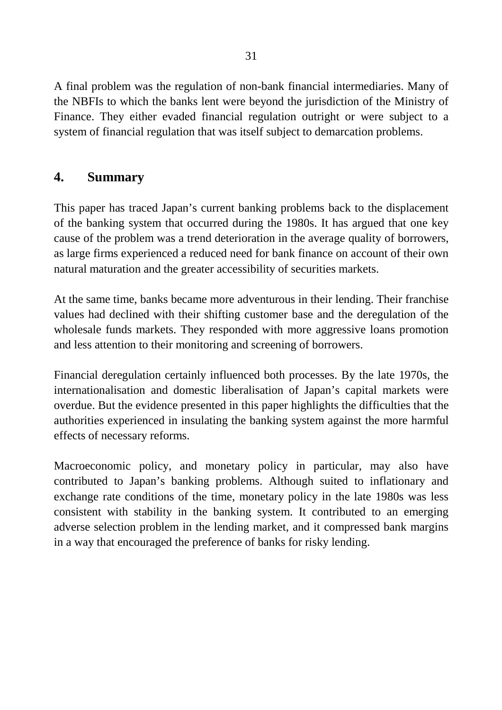A final problem was the regulation of non-bank financial intermediaries. Many of the NBFIs to which the banks lent were beyond the jurisdiction of the Ministry of Finance. They either evaded financial regulation outright or were subject to a system of financial regulation that was itself subject to demarcation problems.

# **4. Summary**

This paper has traced Japan's current banking problems back to the displacement of the banking system that occurred during the 1980s. It has argued that one key cause of the problem was a trend deterioration in the average quality of borrowers, as large firms experienced a reduced need for bank finance on account of their own natural maturation and the greater accessibility of securities markets.

At the same time, banks became more adventurous in their lending. Their franchise values had declined with their shifting customer base and the deregulation of the wholesale funds markets. They responded with more aggressive loans promotion and less attention to their monitoring and screening of borrowers.

Financial deregulation certainly influenced both processes. By the late 1970s, the internationalisation and domestic liberalisation of Japan's capital markets were overdue. But the evidence presented in this paper highlights the difficulties that the authorities experienced in insulating the banking system against the more harmful effects of necessary reforms.

Macroeconomic policy, and monetary policy in particular, may also have contributed to Japan's banking problems. Although suited to inflationary and exchange rate conditions of the time, monetary policy in the late 1980s was less consistent with stability in the banking system. It contributed to an emerging adverse selection problem in the lending market, and it compressed bank margins in a way that encouraged the preference of banks for risky lending.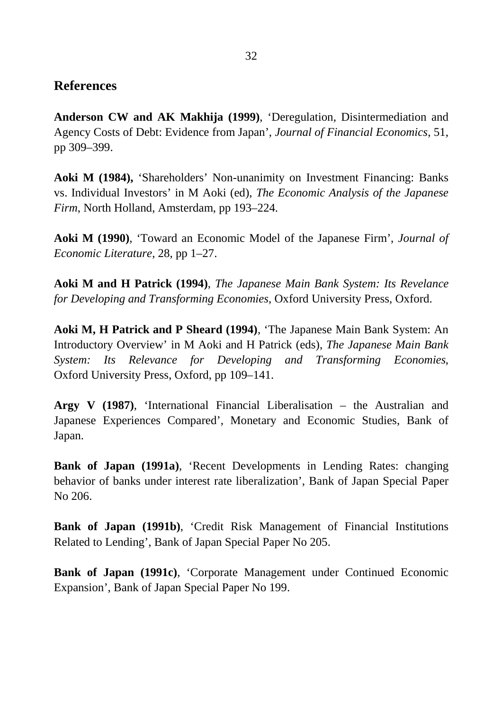### **References**

**Anderson CW and AK Makhija (1999)**, 'Deregulation, Disintermediation and Agency Costs of Debt: Evidence from Japan', *Journal of Financial Economics*, 51, pp 309–399.

**Aoki M (1984),** 'Shareholders' Non-unanimity on Investment Financing: Banks vs. Individual Investors' in M Aoki (ed), *The Economic Analysis of the Japanese Firm*, North Holland, Amsterdam, pp 193–224.

**Aoki M (1990)**, 'Toward an Economic Model of the Japanese Firm', *Journal of Economic Literature*, 28, pp 1–27.

**Aoki M and H Patrick (1994)**, *The Japanese Main Bank System: Its Revelance for Developing and Transforming Economies*, Oxford University Press, Oxford.

**Aoki M, H Patrick and P Sheard (1994)**, 'The Japanese Main Bank System: An Introductory Overview' in M Aoki and H Patrick (eds), *The Japanese Main Bank System: Its Relevance for Developing and Transforming Economies*, Oxford University Press, Oxford, pp 109–141.

**Argy V (1987)**, 'International Financial Liberalisation – the Australian and Japanese Experiences Compared', Monetary and Economic Studies, Bank of Japan.

**Bank of Japan (1991a)**, 'Recent Developments in Lending Rates: changing behavior of banks under interest rate liberalization', Bank of Japan Special Paper No 206.

**Bank of Japan (1991b)**, 'Credit Risk Management of Financial Institutions Related to Lending', Bank of Japan Special Paper No 205.

**Bank of Japan (1991c)**, 'Corporate Management under Continued Economic Expansion', Bank of Japan Special Paper No 199.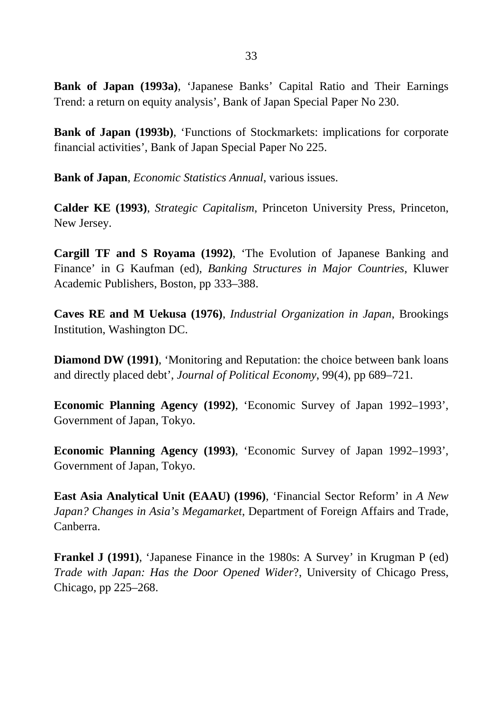**Bank of Japan (1993a)**, 'Japanese Banks' Capital Ratio and Their Earnings Trend: a return on equity analysis', Bank of Japan Special Paper No 230.

**Bank of Japan (1993b)**, 'Functions of Stockmarkets: implications for corporate financial activities', Bank of Japan Special Paper No 225.

**Bank of Japan**, *Economic Statistics Annual*, various issues.

**Calder KE (1993)**, *Strategic Capitalism*, Princeton University Press, Princeton, New Jersey.

**Cargill TF and S Royama (1992)**, 'The Evolution of Japanese Banking and Finance' in G Kaufman (ed), *Banking Structures in Major Countries*, Kluwer Academic Publishers, Boston, pp 333–388.

**Caves RE and M Uekusa (1976)**, *Industrial Organization in Japan*, Brookings Institution, Washington DC.

**Diamond DW (1991)**, 'Monitoring and Reputation: the choice between bank loans and directly placed debt', *Journal of Political Economy*, 99(4), pp 689–721.

**Economic Planning Agency (1992)**, 'Economic Survey of Japan 1992–1993', Government of Japan, Tokyo.

**Economic Planning Agency (1993)**, 'Economic Survey of Japan 1992–1993', Government of Japan, Tokyo.

**East Asia Analytical Unit (EAAU) (1996)**, 'Financial Sector Reform' in *A New Japan? Changes in Asia's Megamarket*, Department of Foreign Affairs and Trade, Canberra.

**Frankel J (1991)**, 'Japanese Finance in the 1980s: A Survey' in Krugman P (ed) *Trade with Japan: Has the Door Opened Wider*?, University of Chicago Press, Chicago, pp 225–268.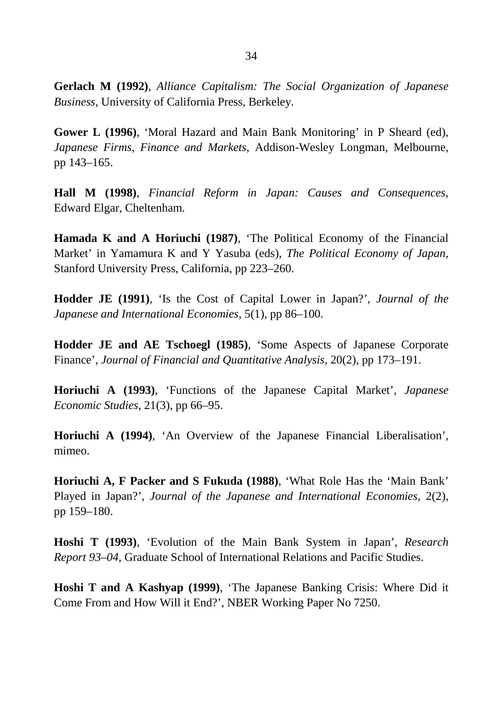**Gerlach M (1992)**, *Alliance Capitalism: The Social Organization of Japanese Business*, University of California Press, Berkeley.

**Gower L (1996)**, 'Moral Hazard and Main Bank Monitoring' in P Sheard (ed), *Japanese Firms, Finance and Markets*, Addison-Wesley Longman, Melbourne, pp 143–165.

**Hall M (1998)**, *Financial Reform in Japan: Causes and Consequences*, Edward Elgar, Cheltenham.

**Hamada K and A Horiuchi (1987)**, 'The Political Economy of the Financial Market' in Yamamura K and Y Yasuba (eds), *The Political Economy of Japan*, Stanford University Press, California, pp 223–260.

**Hodder JE (1991)**, 'Is the Cost of Capital Lower in Japan?', *Journal of the Japanese and International Economies*, 5(1), pp 86–100.

**Hodder JE and AE Tschoegl (1985)**, 'Some Aspects of Japanese Corporate Finance', *Journal of Financial and Quantitative Analysis*, 20(2), pp 173–191.

**Horiuchi A (1993)**, 'Functions of the Japanese Capital Market'*, Japanese Economic Studies*, 21(3), pp 66–95.

**Horiuchi A (1994)**, 'An Overview of the Japanese Financial Liberalisation', mimeo.

**Horiuchi A, F Packer and S Fukuda (1988)**, 'What Role Has the 'Main Bank' Played in Japan?', *Journal of the Japanese and International Economies*, 2(2), pp 159–180.

**Hoshi T (1993)**, 'Evolution of the Main Bank System in Japan', *Research Report 93–04*, Graduate School of International Relations and Pacific Studies.

**Hoshi T and A Kashyap (1999)**, 'The Japanese Banking Crisis: Where Did it Come From and How Will it End?', NBER Working Paper No 7250.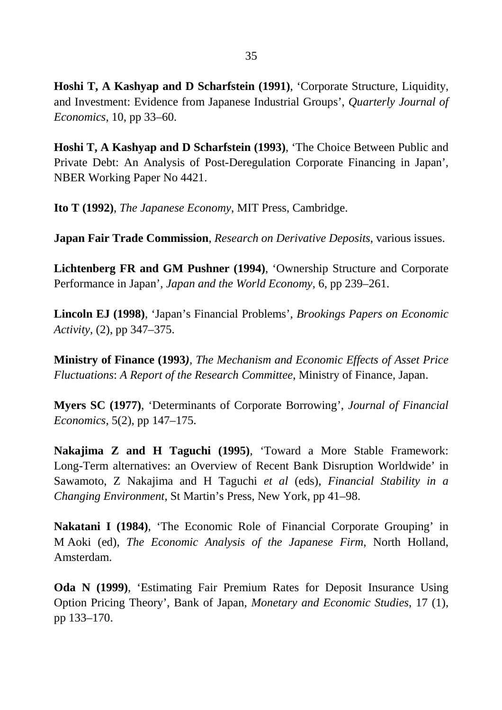**Hoshi T, A Kashyap and D Scharfstein (1991)**, 'Corporate Structure, Liquidity, and Investment: Evidence from Japanese Industrial Groups', *Quarterly Journal of Economics*, 10, pp 33*–*60.

**Hoshi T, A Kashyap and D Scharfstein (1993)**, 'The Choice Between Public and Private Debt: An Analysis of Post-Deregulation Corporate Financing in Japan', NBER Working Paper No 4421.

**Ito T (1992)**, *The Japanese Economy*, MIT Press, Cambridge.

**Japan Fair Trade Commission**, *Research on Derivative Deposits*, various issues.

**Lichtenberg FR and GM Pushner (1994)**, 'Ownership Structure and Corporate Performance in Japan', *Japan and the World Economy*, 6, pp 239*–*261.

**Lincoln EJ (1998)**, 'Japan's Financial Problems', *Brookings Papers on Economic Activity*, (2), pp 347*–*375.

**Ministry of Finance (1993***), The Mechanism and Economic Effects of Asset Price Fluctuations*: *A Report of the Research Committee*, Ministry of Finance, Japan.

**Myers SC (1977)**, 'Determinants of Corporate Borrowing', *Journal of Financial Economics*, 5(2), pp 147*–*175.

**Nakajima Z and H Taguchi (1995)**, 'Toward a More Stable Framework: Long-Term alternatives: an Overview of Recent Bank Disruption Worldwide' in Sawamoto, Z Nakajima and H Taguchi *et al* (eds), *Financial Stability in a Changing Environment*, St Martin's Press, New York, pp 41*–*98.

**Nakatani I (1984)**, 'The Economic Role of Financial Corporate Grouping' in M Aoki (ed), *The Economic Analysis of the Japanese Firm*, North Holland, Amsterdam.

**Oda N (1999)**, 'Estimating Fair Premium Rates for Deposit Insurance Using Option Pricing Theory', Bank of Japan, *Monetary and Economic Studies*, 17 (1), pp 133*–*170.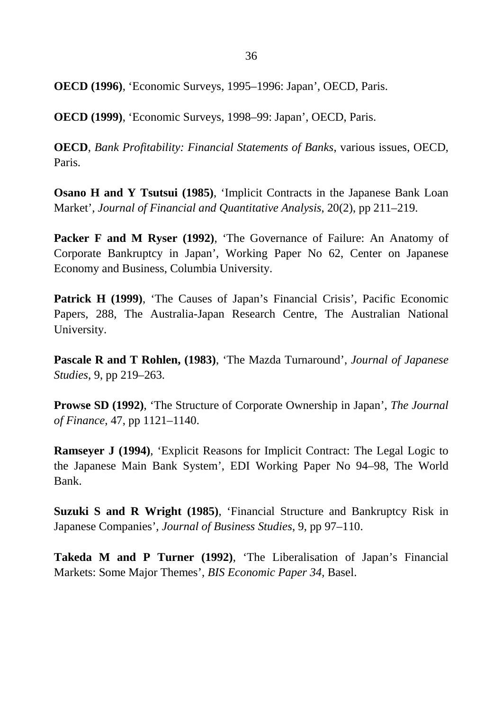**OECD (1996)**, 'Economic Surveys, 1995*–*1996: Japan', OECD, Paris.

**OECD (1999)**, 'Economic Surveys, 1998*–*99: Japan', OECD, Paris.

**OECD**, *Bank Profitability: Financial Statements of Banks*, various issues, OECD, Paris.

**Osano H and Y Tsutsui (1985)**, 'Implicit Contracts in the Japanese Bank Loan Market', *Journal of Financial and Quantitative Analysis*, 20(2), pp 211*–*219.

**Packer F and M Ryser (1992)**, 'The Governance of Failure: An Anatomy of Corporate Bankruptcy in Japan', Working Paper No 62, Center on Japanese Economy and Business, Columbia University.

**Patrick H (1999)**, 'The Causes of Japan's Financial Crisis', Pacific Economic Papers, 288, The Australia-Japan Research Centre, The Australian National University.

**Pascale R and T Rohlen, (1983)**, 'The Mazda Turnaround', *Journal of Japanese Studies*, 9, pp 219*–*263.

**Prowse SD (1992)**, 'The Structure of Corporate Ownership in Japan', *The Journal of Finance*, 47, pp 1121*–*1140.

**Ramseyer J (1994)**, 'Explicit Reasons for Implicit Contract: The Legal Logic to the Japanese Main Bank System', EDI Working Paper No 94*–*98, The World Bank.

**Suzuki S and R Wright (1985)**, 'Financial Structure and Bankruptcy Risk in Japanese Companies', *Journal of Business Studies*, 9, pp 97*–*110.

**Takeda M and P Turner (1992)**, 'The Liberalisation of Japan's Financial Markets: Some Major Themes', *BIS Economic Paper 34*, Basel.